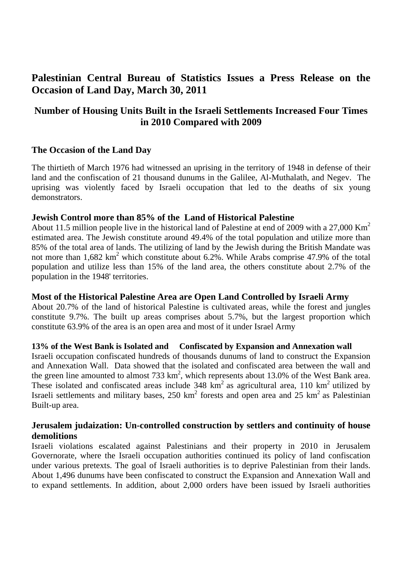# **Palestinian Central Bureau of Statistics Issues a Press Release on the Occasion of Land Day, March 30, 2011**

## **Number of Housing Units Built in the Israeli Settlements Increased Four Times in 2010 Compared with 2009**

## **The Occasion of the Land Day**

The thirtieth of March 1976 had witnessed an uprising in the territory of 1948 in defense of their land and the confiscation of 21 thousand dunums in the Galilee, Al-Muthalath, and Negev. The uprising was violently faced by Israeli occupation that led to the deaths of six young demonstrators.

#### **Jewish Control more than 85% of the Land of Historical Palestine**

About 11.5 million people live in the historical land of Palestine at end of 2009 with a 27,000 Km<sup>2</sup> estimated area. The Jewish constitute around 49.4% of the total population and utilize more than 85% of the total area of lands. The utilizing of land by the Jewish during the British Mandate was not more than  $1,682 \text{ km}^2$  which constitute about 6.2%. While Arabs comprise 47.9% of the total population and utilize less than 15% of the land area, the others constitute about 2.7% of the population in the 1948' territories.

## **Most of the Historical Palestine Area are Open Land Controlled by Israeli Army**

About 20.7% of the land of historical Palestine is cultivated areas, while the forest and jungles constitute 9.7%. The built up areas comprises about 5.7%, but the largest proportion which constitute 63.9% of the area is an open area and most of it under Israel Army

#### **13% of the West Bank is Isolated and Confiscated by Expansion and Annexation wall**

Israeli occupation confiscated hundreds of thousands dunums of land to construct the Expansion and Annexation Wall. Data showed that the isolated and confiscated area between the wall and the green line amounted to almost 733  $\text{km}^2$ , which represents about 13.0% of the West Bank area. These isolated and confiscated areas include  $348 \text{ km}^2$  as agricultural area, 110 km<sup>2</sup> utilized by Israeli settlements and military bases,  $250 \text{ km}^2$  forests and open area and  $25 \text{ km}^2$  as Palestinian Built-up area.

## **Jerusalem judaization: Un-controlled construction by settlers and continuity of house demolitions**

Israeli violations escalated against Palestinians and their property in 2010 in Jerusalem Governorate, where the Israeli occupation authorities continued its policy of land confiscation under various pretexts. The goal of Israeli authorities is to deprive Palestinian from their lands. About 1,496 dunums have been confiscated to construct the Expansion and Annexation Wall and to expand settlements. In addition, about 2,000 orders have been issued by Israeli authorities